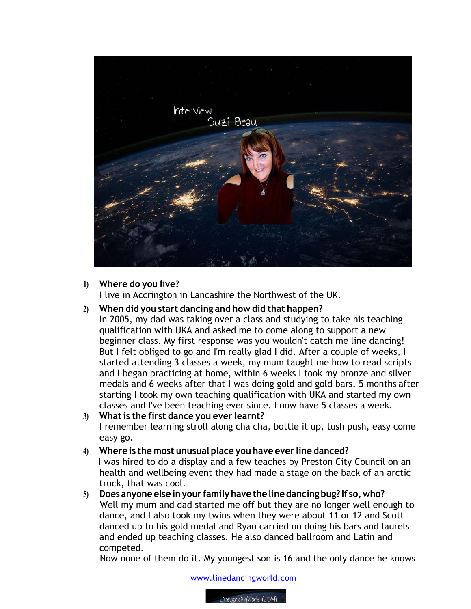

## **1) Where do you live?**

I live in Accrington in Lancashire the Northwest of the UK.

# **2) When did you start dancing and how did that happen?**

In 2005, my dad was taking over a class and studying to take his teaching qualification with UKA and asked me to come along to support a new beginner class. My first response was you wouldn't catch me line dancing! But I felt obliged to go and I'm really glad I did. After a couple of weeks, I started attending 3 classes a week, my mum taught me how to read scripts and I began practicing at home, within 6 weeks I took my bronze and silver medals and 6 weeks after that I was doing gold and gold bars. 5 months after starting I took my own teaching qualification with UKA and started my own classes and I've been teaching ever since. I now have 5 classes a week.

#### **3) Whatis the first dance you ever learnt?** I remember learning stroll along cha cha, bottle it up, tush push, easy come easy go.

# **4) Where is the most unusual place you have ever line danced?** I was hired to do a display and a few teaches by Preston City Council on an health and wellbeing event they had made a stage on the back of an arctic truck, that was cool.

**5) Does anyoneelse inyour familyhave the line dancing bug? If so,who?** Well my mum and dad started me off but they are no longer well enough to dance, and I also took my twins when they were about 11 or 12 and Scott danced up to his gold medal and Ryan carried on doing his bars and laurels and ended up teaching classes. He also danced ballroom and Latin and competed.

Now none of them do it. My youngest son is 16 and the only dance he knows

www.linedancingworld.com

LineDancingWorld (LDW)